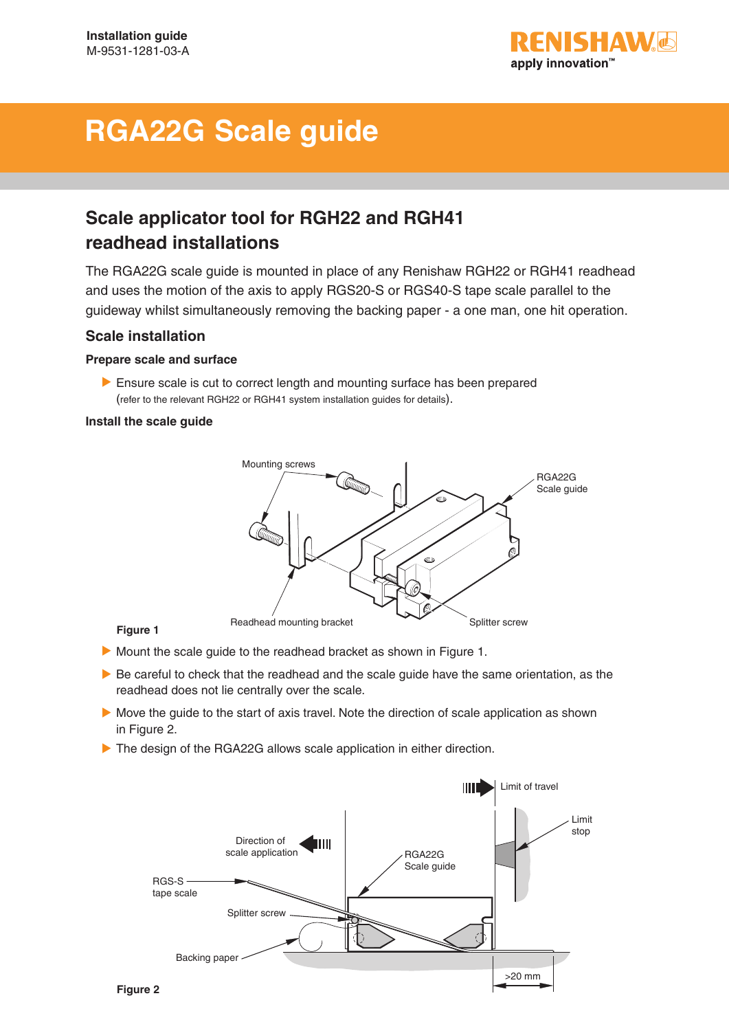

# **RGA22G Scale guide**

# **Scale applicator tool for RGH22 and RGH41 readhead installations**

The RGA22G scale guide is mounted in place of any Renishaw RGH22 or RGH41 readhead and uses the motion of the axis to apply RGS20-S or RGS40-S tape scale parallel to the guideway whilst simultaneously removing the backing paper - a one man, one hit operation.

# **Scale installation**

# **Prepare scale and surface**

 Ensure scale is cut to correct length and mounting surface has been prepared (refer to the relevant RGH22 or RGH41 system installation guides for details).

# **Install the scale guide**



# **Figure 1**

- Mount the scale guide to the readhead bracket as shown in Figure 1.
- Be careful to check that the readhead and the scale guide have the same orientation, as the readhead does not lie centrally over the scale.
- Move the guide to the start of axis travel. Note the direction of scale application as shown in Figure 2.
- The design of the RGA22G allows scale application in either direction.